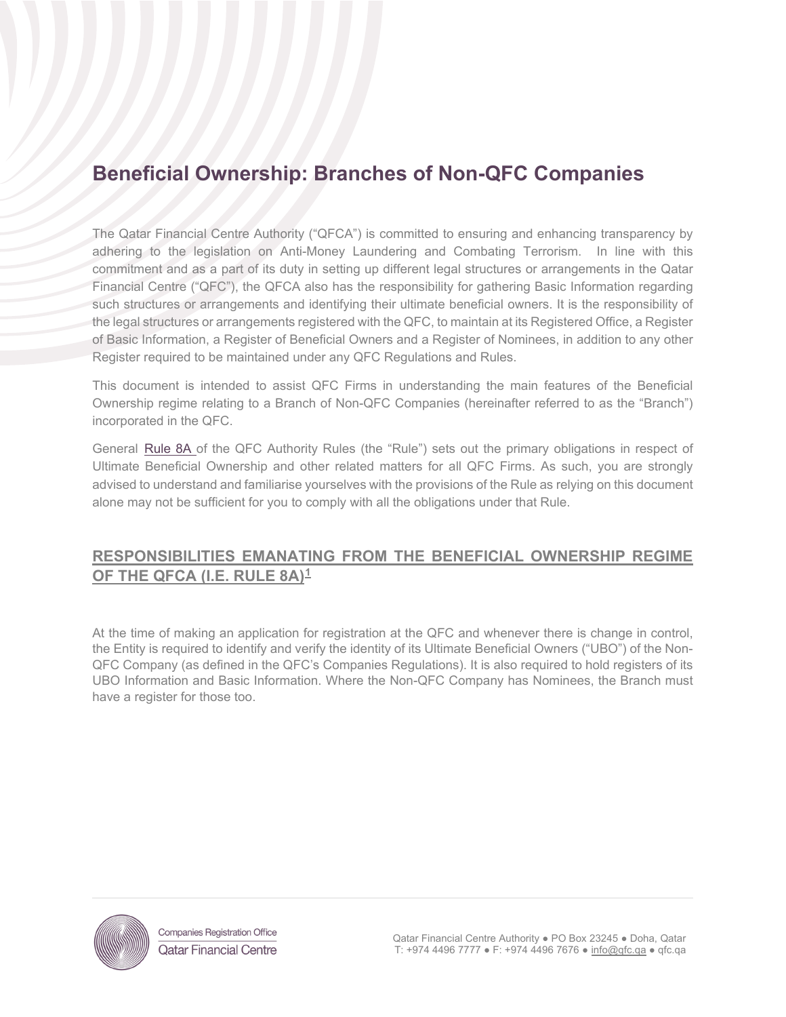# **Beneficial Ownership: Branches of Non-QFC Companies**

The Qatar Financial Centre Authority ("QFCA") is committed to ensuring and enhancing transparency by adhering to the legislation on Anti-Money Laundering and Combating Terrorism. In line with this commitment and as a part of its duty in setting up different legal structures or arrangements in the Qatar Financial Centre ("QFC"), the QFCA also has the responsibility for gathering Basic Information regarding such structures or arrangements and identifying their ultimate beneficial owners. It is the responsibility of the legal structures or arrangements registered with the QFC, to maintain at its Registered Office, a Register of Basic Information, a Register of Beneficial Owners and a Register of Nominees, in addition to any other Register required to be maintained under any QFC Regulations and Rules.

This document is intended to assist QFC Firms in understanding the main features of the Beneficial Ownership regime relating to a Branch of Non-QFC Companies (hereinafter referred to as the "Branch") incorporated in the QFC.

General [Rule 8A](https://qfcra-en.thomsonreuters.com/rulebook/qfca-rules-0) of the QFC Authority Rules (the "Rule") sets out the primary obligations in respect of Ultimate Beneficial Ownership and other related matters for all QFC Firms. As such, you are strongly advised to understand and familiarise yourselves with the provisions of the Rule as relying on this document alone may not be sufficient for you to comply with all the obligations under that Rule.

## **RESPONSIBILITIES EMANATING FROM THE BENEFICIAL OWNERSHIP REGIME OF THE QFCA (I.E. RULE 8A)[1](#page-0-0)**

At the time of making an application for registration at the QFC and whenever there is change in control, the Entity is required to identify and verify the identity of its Ultimate Beneficial Owners ("UBO") of the Non-QFC Company (as defined in the QFC's Companies Regulations). It is also required to hold registers of its UBO Information and Basic Information. Where the Non-QFC Company has Nominees, the Branch must have a register for those too.

<span id="page-0-0"></span>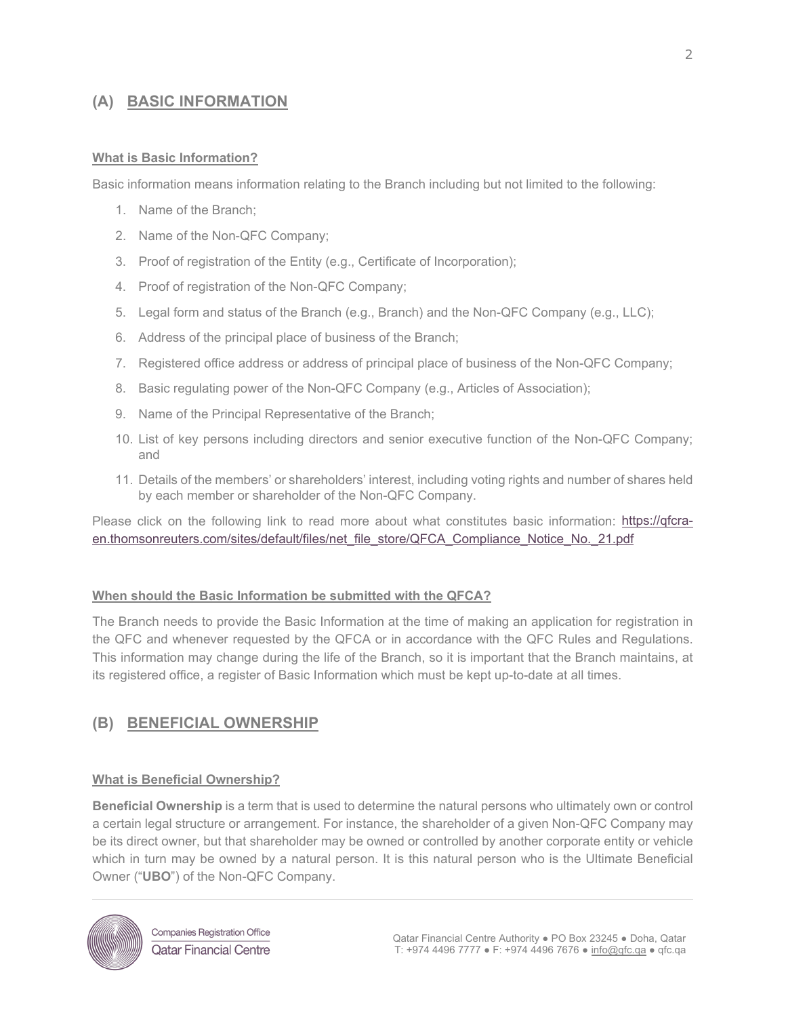### **(A) BASIC INFORMATION**

#### **What is Basic Information?**

Basic information means information relating to the Branch including but not limited to the following:

- 1. Name of the Branch;
- 2. Name of the Non-QFC Company;
- 3. Proof of registration of the Entity (e.g., Certificate of Incorporation);
- 4. Proof of registration of the Non-QFC Company;
- 5. Legal form and status of the Branch (e.g., Branch) and the Non-QFC Company (e.g., LLC);
- 6. Address of the principal place of business of the Branch;
- 7. Registered office address or address of principal place of business of the Non-QFC Company;
- 8. Basic regulating power of the Non-QFC Company (e.g., Articles of Association);
- 9. Name of the Principal Representative of the Branch;
- 10. List of key persons including directors and senior executive function of the Non-QFC Company; and
- 11. Details of the members' or shareholders' interest, including voting rights and number of shares held by each member or shareholder of the Non-QFC Company.

Please click on the following link to read more about what constitutes basic information: [https://qfcra](https://qfcra-en.thomsonreuters.com/sites/default/files/net_file_store/QFCA_Compliance_Notice_No._21.pdf)[en.thomsonreuters.com/sites/default/files/net\\_file\\_store/QFCA\\_Compliance\\_Notice\\_No.\\_21.pdf](https://qfcra-en.thomsonreuters.com/sites/default/files/net_file_store/QFCA_Compliance_Notice_No._21.pdf)

#### **When should the Basic Information be submitted with the QFCA?**

The Branch needs to provide the Basic Information at the time of making an application for registration in the QFC and whenever requested by the QFCA or in accordance with the QFC Rules and Regulations. This information may change during the life of the Branch, so it is important that the Branch maintains, at its registered office, a register of Basic Information which must be kept up-to-date at all times.

### **(B) BENEFICIAL OWNERSHIP**

#### **What is Beneficial Ownership?**

**Beneficial Ownership** is a term that is used to determine the natural persons who ultimately own or control a certain legal structure or arrangement. For instance, the shareholder of a given Non-QFC Company may be its direct owner, but that shareholder may be owned or controlled by another corporate entity or vehicle which in turn may be owned by a natural person. It is this natural person who is the Ultimate Beneficial Owner ("**UBO**") of the Non-QFC Company.

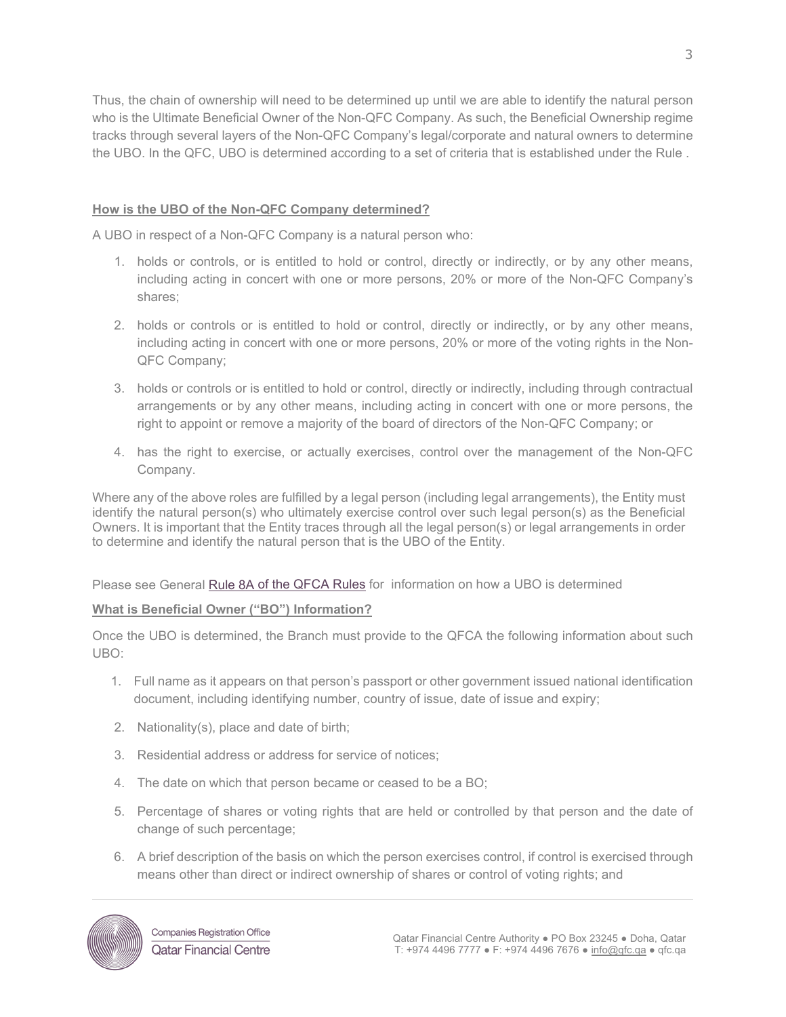Thus, the chain of ownership will need to be determined up until we are able to identify the natural person who is the Ultimate Beneficial Owner of the Non-QFC Company. As such, the Beneficial Ownership regime tracks through several layers of the Non-QFC Company's legal/corporate and natural owners to determine the UBO. In the QFC, UBO is determined according to a set of criteria that is established under the [Rule](https://qfcra-en.thomsonreuters.com/rulebook/qfca-rules-0) .

#### **How is the UBO of the Non-QFC Company determined?**

A UBO in respect of a Non-QFC Company is a natural person who:

- 1. holds or controls, or is entitled to hold or control, directly or indirectly, or by any other means, including acting in concert with one or more persons, 20% or more of the Non-QFC Company's shares;
- 2. holds or controls or is entitled to hold or control, directly or indirectly, or by any other means, including acting in concert with one or more persons, 20% or more of the voting rights in the Non-QFC Company;
- 3. holds or controls or is entitled to hold or control, directly or indirectly, including through contractual arrangements or by any other means, including acting in concert with one or more persons, the right to appoint or remove a majority of the board of directors of the Non-QFC Company; or
- 4. has the right to exercise, or actually exercises, control over the management of the Non-QFC Company.

Where any of the above roles are fulfilled by a legal person (including legal arrangements), the Entity must identify the natural person(s) who ultimately exercise control over such legal person(s) as the Beneficial Owners. It is important that the Entity traces through all the legal person(s) or legal arrangements in order to determine and identify the natural person that is the UBO of the Entity.

Please see General [Rule 8A](https://qfcra-en.thomsonreuters.com/rulebook/qfca-rules-0) of the QFCA Rules for information on how a UBO is determined

#### **What is Beneficial Owner ("BO") Information?**

Once the UBO is determined, the Branch must provide to the QFCA the following information about such UBO:

- 1. Full name as it appears on that person's passport or other government issued national identification document, including identifying number, country of issue, date of issue and expiry;
- 2. Nationality(s), place and date of birth;
- 3. Residential address or address for service of notices;
- 4. The date on which that person became or ceased to be a BO;
- 5. Percentage of shares or voting rights that are held or controlled by that person and the date of change of such percentage;
- 6. A brief description of the basis on which the person exercises control, if control is exercised through means other than direct or indirect ownership of shares or control of voting rights; and

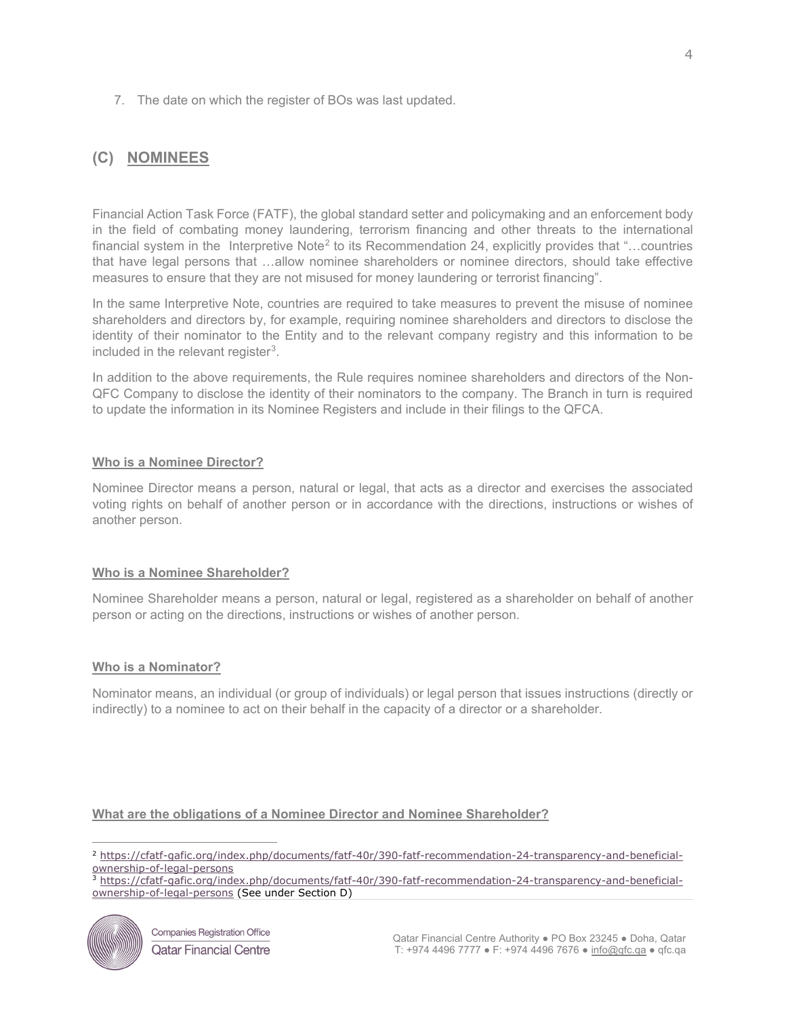7. The date on which the register of BOs was last updated.

# **(C) NOMINEES**

Financial Action Task Force (FATF), the global standard setter and policymaking and an enforcement body in the field of combating money laundering, terrorism financing and other threats to the international financial system in the Interpretive Note<sup>[2](#page-3-0)</sup> to its Recommendation 24, explicitly provides that "...countries" that have legal persons that …allow nominee shareholders or nominee directors, should take effective measures to ensure that they are not misused for money laundering or terrorist financing".

In the same Interpretive Note, countries are required to take measures to prevent the misuse of nominee shareholders and directors by, for example, requiring nominee shareholders and directors to disclose the identity of their nominator to the Entity and to the relevant company registry and this information to be included in the relevant register<sup>[3](#page-3-1)</sup>.

In addition to the above requirements, the Rule requires nominee shareholders and directors of the Non-QFC Company to disclose the identity of their nominators to the company. The Branch in turn is required to update the information in its Nominee Registers and include in their filings to the QFCA.

#### **Who is a Nominee Director?**

Nominee Director means a person, natural or legal, that acts as a director and exercises the associated voting rights on behalf of another person or in accordance with the directions, instructions or wishes of another person.

#### **Who is a Nominee Shareholder?**

Nominee Shareholder means a person, natural or legal, registered as a shareholder on behalf of another person or acting on the directions, instructions or wishes of another person.

#### **Who is a Nominator?**

Nominator means, an individual (or group of individuals) or legal person that issues instructions (directly or indirectly) to a nominee to act on their behalf in the capacity of a director or a shareholder.

#### **What are the obligations of a Nominee Director and Nominee Shareholder?**

<span id="page-3-0"></span><sup>2</sup> [https://cfatf-gafic.org/index.php/documents/fatf-40r/390-fatf-recommendation-24-transparency-and-beneficial-](https://cfatf-gafic.org/index.php/documents/fatf-40r/390-fatf-recommendation-24-transparency-and-beneficial-ownership-of-legal-persons)

 $\frac{1}{3}$  [https://cfatf-gafic.org/index.php/documents/fatf-40r/390-fatf-recommendation-24-transparency-and-beneficial](https://cfatf-gafic.org/index.php/documents/fatf-40r/390-fatf-recommendation-24-transparency-and-beneficial-ownership-of-legal-persons)[ownership-of-legal-persons](https://cfatf-gafic.org/index.php/documents/fatf-40r/390-fatf-recommendation-24-transparency-and-beneficial-ownership-of-legal-persons) (See under Section D)

<span id="page-3-1"></span>